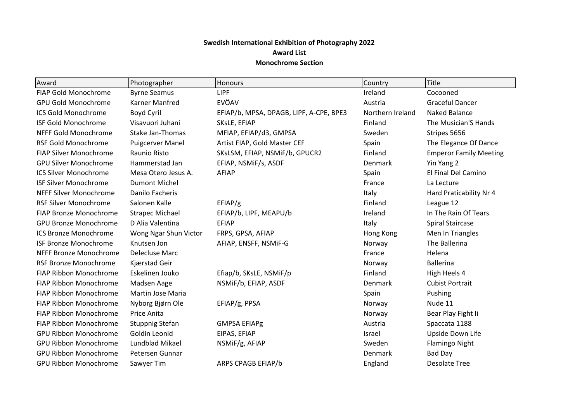## **Swedish International Exhibition of Photography 2022 Award List Monochrome Section**

| Award                         | Photographer             | <b>Honours</b>                          | Country          | <b>Title</b>                  |
|-------------------------------|--------------------------|-----------------------------------------|------------------|-------------------------------|
| FIAP Gold Monochrome          | <b>Byrne Seamus</b>      | <b>LIPF</b>                             | Ireland          | Cocooned                      |
| <b>GPU Gold Monochrome</b>    | <b>Karner Manfred</b>    | EVÖAV                                   | Austria          | <b>Graceful Dancer</b>        |
| <b>ICS Gold Monochrome</b>    | Boyd Cyril               | EFIAP/b, MPSA, DPAGB, LIPF, A-CPE, BPE3 | Northern Ireland | Naked Balance                 |
| <b>ISF Gold Monochrome</b>    | Visavuori Juhani         | SKsLE, EFIAP                            | Finland          | The Musician'S Hands          |
| NFFF Gold Monochrome          | <b>Stake Jan-Thomas</b>  | MFIAP, EFIAP/d3, GMPSA                  | Sweden           | Stripes 5656                  |
| <b>RSF Gold Monochrome</b>    | <b>Puigcerver Manel</b>  | Artist FIAP, Gold Master CEF            | Spain            | The Elegance Of Dance         |
| <b>FIAP Silver Monochrome</b> | Raunio Risto             | SKsLSM, EFIAP, NSMiF/b, GPUCR2          | Finland          | <b>Emperor Family Meeting</b> |
| <b>GPU Silver Monochrome</b>  | Hammerstad Jan           | EFIAP, NSMIF/s, ASDF                    | Denmark          | Yin Yang 2                    |
| <b>ICS Silver Monochrome</b>  | Mesa Otero Jesus A.      | <b>AFIAP</b>                            | Spain            | El Final Del Camino           |
| <b>ISF Silver Monochrome</b>  | <b>Dumont Michel</b>     |                                         | France           | La Lecture                    |
| NFFF Silver Monochrome        | Danilo Facheris          |                                         | Italy            | Hard Praticability Nr 4       |
| <b>RSF Silver Monochrome</b>  | Salonen Kalle            | EFIAP/g                                 | Finland          | League 12                     |
| <b>FIAP Bronze Monochrome</b> | <b>Strapec Michael</b>   | EFIAP/b, LIPF, MEAPU/b                  | Ireland          | In The Rain Of Tears          |
| <b>GPU Bronze Monochrome</b>  | D Alia Valentina         | <b>EFIAP</b>                            | Italy            | <b>Spiral Staircase</b>       |
| <b>ICS Bronze Monochrome</b>  | Wong Ngar Shun Victor    | FRPS, GPSA, AFIAP                       | Hong Kong        | Men In Triangles              |
| <b>ISF Bronze Monochrome</b>  | Knutsen Jon              | AFIAP, ENSFF, NSMIF-G                   | Norway           | The Ballerina                 |
| NFFF Bronze Monochrome        | Delecluse Marc           |                                         | France           | Helena                        |
| <b>RSF Bronze Monochrome</b>  | Kjærstad Geir            |                                         | Norway           | <b>Ballerina</b>              |
| <b>FIAP Ribbon Monochrome</b> | Eskelinen Jouko          | Efiap/b, SKsLE, NSMiF/p                 | Finland          | High Heels 4                  |
| FIAP Ribbon Monochrome        | Madsen Aage              | NSMiF/b, EFIAP, ASDF                    | Denmark          | <b>Cubist Portrait</b>        |
| <b>FIAP Ribbon Monochrome</b> | <b>Martin Jose Maria</b> |                                         | Spain            | Pushing                       |
| FIAP Ribbon Monochrome        | Nyborg Bjørn Ole         | EFIAP/g, PPSA                           | Norway           | Nude 11                       |
| <b>FIAP Ribbon Monochrome</b> | Price Anita              |                                         | Norway           | Bear Play Fight Ii            |
| <b>FIAP Ribbon Monochrome</b> | <b>Stuppnig Stefan</b>   | <b>GMPSA EFIAPg</b>                     | Austria          | Spaccata 1188                 |
| <b>GPU Ribbon Monochrome</b>  | Goldin Leonid            | EIPAS, EFIAP                            | Israel           | Upside Down Life              |
| <b>GPU Ribbon Monochrome</b>  | Lundblad Mikael          | NSMiF/g, AFIAP                          | Sweden           | <b>Flamingo Night</b>         |
| <b>GPU Ribbon Monochrome</b>  | Petersen Gunnar          |                                         | Denmark          | <b>Bad Day</b>                |
| <b>GPU Ribbon Monochrome</b>  | Sawyer Tim               | ARPS CPAGB EFIAP/b                      | England          | <b>Desolate Tree</b>          |